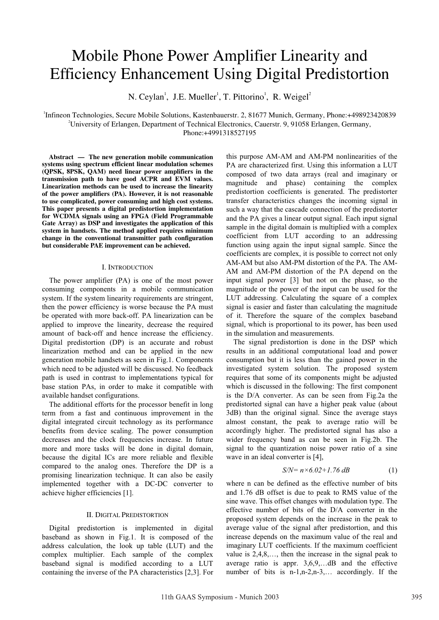# Mobile Phone Power Amplifier Linearity and Efficiency Enhancement Using Digital Predistortion

N. Ceylan<sup>1</sup>, J.E. Mueller<sup>1</sup>, T. Pittorino<sup>1</sup>, R. Weigel<sup>2</sup>

Infineon Technologies, Secure Mobile Solutions, Kastenbauerstr. 2, 81677 Munich, Germany, Phone:+498923420839<br><sup>2</sup>University of Felances, Department of Technical Electronics, Germany, 20058 Eclepses, Germany <sup>2</sup>University of Erlangen, Department of Technical Electronics, Cauerstr. 9, 91058 Erlangen, Germany, Phone:+4991318527195

**Abstract — The new generation mobile communication systems using spectrum efficient linear modulation schemes (QPSK, 8PSK, QAM) need linear power amplifiers in the transmission path to have good ACPR and EVM values. Linearization methods can be used to increase the linearity of the power amplifiers (PA). However, it is not reasonable to use complicated, power consuming and high cost systems. This paper presents a digital predistortion implementation for WCDMA signals using an FPGA (Field Programmable Gate Array) as DSP and investigates the application of this system in handsets. The method applied requires minimum change in the conventional transmitter path configuration but considerable PAE improvement can be achieved.**

## I. INTRODUCTION

The power amplifier (PA) is one of the most power consuming components in a mobile communication system. If the system linearity requirements are stringent, then the power efficiency is worse because the PA must be operated with more back-off. PA linearization can be applied to improve the linearity, decrease the required amount of back-off and hence increase the efficiency. Digital predistortion (DP) is an accurate and robust linearization method and can be applied in the new generation mobile handsets as seen in Fig.1. Components which need to be adjusted will be discussed. No feedback path is used in contrast to implementations typical for base station PAs, in order to make it compatible with available handset configurations.

The additional efforts for the processor benefit in long term from a fast and continuous improvement in the digital integrated circuit technology as its performance benefits from device scaling. The power consumption decreases and the clock frequencies increase. In future more and more tasks will be done in digital domain, because the digital ICs are more reliable and flexible compared to the analog ones. Therefore the DP is a promising linearization technique. It can also be easily implemented together with a DC-DC converter to achieve higher efficiencies [1].

## II. DIGITAL PREDISTORTION

Digital predistortion is implemented in digital baseband as shown in Fig.1. It is composed of the address calculation, the look up table (LUT) and the complex multiplier. Each sample of the complex baseband signal is modified according to a LUT containing the inverse of the PA characteristics [2,3]. For this purpose AM-AM and AM-PM nonlinearities of the PA are characterized first. Using this information a LUT composed of two data arrays (real and imaginary or magnitude and phase) containing the complex predistortion coefficients is generated. The predistorter transfer characteristics changes the incoming signal in such a way that the cascade connection of the predistorter and the PA gives a linear output signal. Each input signal sample in the digital domain is multiplied with a complex coefficient from LUT according to an addressing function using again the input signal sample. Since the coefficients are complex, it is possible to correct not only AM-AM but also AM-PM distortion of the PA. The AM-AM and AM-PM distortion of the PA depend on the input signal power [3] but not on the phase, so the magnitude or the power of the input can be used for the LUT addressing. Calculating the square of a complex signal is easier and faster than calculating the magnitude of it. Therefore the square of the complex baseband signal, which is proportional to its power, has been used in the simulation and measurements.

The signal predistortion is done in the DSP which results in an additional computational load and power consumption but it is less than the gained power in the investigated system solution. The proposed system requires that some of its components might be adjusted which is discussed in the following: The first component is the D/A converter. As can be seen from Fig.2a the predistorted signal can have a higher peak value (about 3dB) than the original signal. Since the average stays almost constant, the peak to average ratio will be accordingly higher. The predistorted signal has also a wider frequency band as can be seen in Fig.2b. The signal to the quantization noise power ratio of a sine wave in an ideal converter is [4],

$$
S/N = n \times 6.02 + 1.76 \, dB \tag{1}
$$

where n can be defined as the effective number of bits and 1.76 dB offset is due to peak to RMS value of the sine wave. This offset changes with modulation type. The effective number of bits of the D/A converter in the proposed system depends on the increase in the peak to average value of the signal after predistortion, and this increase depends on the maximum value of the real and imaginary LUT coefficients. If the maximum coefficient value is 2,4,8,…, then the increase in the signal peak to average ratio is appr. 3,6,9,…dB and the effective number of bits is n-1,n-2,n-3,… accordingly. If the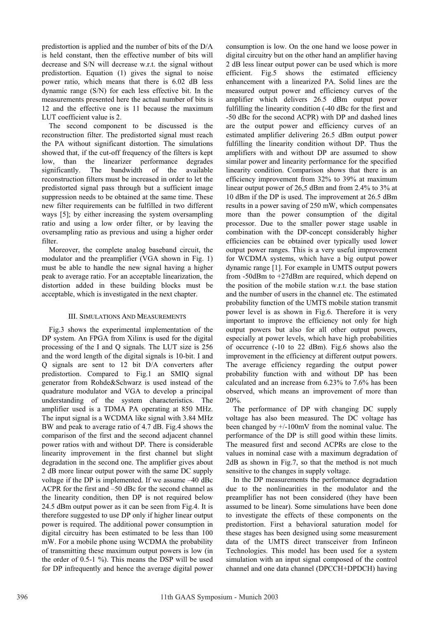predistortion is applied and the number of bits of the D/A is held constant, then the effective number of bits will decrease and S/N will decrease w.r.t. the signal without predistortion. Equation (1) gives the signal to noise power ratio, which means that there is 6.02 dB less dynamic range (S/N) for each less effective bit. In the measurements presented here the actual number of bits is 12 and the effective one is 11 because the maximum LUT coefficient value is 2.

The second component to be discussed is the reconstruction filter. The predistorted signal must reach the PA without significant distortion. The simulations showed that, if the cut-off frequency of the filters is kept low, than the linearizer performance degrades significantly. The bandwidth of the available reconstruction filters must be increased in order to let the predistorted signal pass through but a sufficient image suppression needs to be obtained at the same time. These new filter requirements can be fulfilled in two different ways [5]; by either increasing the system oversampling ratio and using a low order filter, or by leaving the oversampling ratio as previous and using a higher order filter.

Moreover, the complete analog baseband circuit, the modulator and the preamplifier (VGA shown in Fig. 1) must be able to handle the new signal having a higher peak to average ratio. For an acceptable linearization, the distortion added in these building blocks must be acceptable, which is investigated in the next chapter.

## III. SIMULATIONS AND MEASUREMENTS

Fig.3 shows the experimental implementation of the DP system. An FPGA from Xilinx is used for the digital processing of the I and Q signals. The LUT size is 256 and the word length of the digital signals is 10-bit. I and Q signals are sent to 12 bit D/A converters after predistortion. Compared to Fig.1 an SMIQ signal generator from Rohde&Schwarz is used instead of the quadrature modulator and VGA to develop a principal understanding of the system characteristics. The amplifier used is a TDMA PA operating at 850 MHz. The input signal is a WCDMA like signal with 3.84 MHz BW and peak to average ratio of 4.7 dB. Fig.4 shows the comparison of the first and the second adjacent channel power ratios with and without DP. There is considerable linearity improvement in the first channel but slight degradation in the second one. The amplifier gives about 2 dB more linear output power with the same DC supply voltage if the DP is implemented. If we assume –40 dBc ACPR for the first and –50 dBc for the second channel as the linearity condition, then DP is not required below 24.5 dBm output power as it can be seen from Fig.4. It is therefore suggested to use DP only if higher linear output power is required. The additional power consumption in digital circuitry has been estimated to be less than 100 mW. For a mobile phone using WCDMA the probability of transmitting these maximum output powers is low (in the order of 0.5-1 %). This means the DSP will be used for DP infrequently and hence the average digital power consumption is low. On the one hand we loose power in digital circuitry but on the other hand an amplifier having 2 dB less linear output power can be used which is more efficient. Fig.5 shows the estimated efficiency enhancement with a linearized PA. Solid lines are the measured output power and efficiency curves of the amplifier which delivers 26.5 dBm output power fulfilling the linearity condition (-40 dBc for the first and -50 dBc for the second ACPR) with DP and dashed lines are the output power and efficiency curves of an estimated amplifier delivering 26.5 dBm output power fulfilling the linearity condition without DP. Thus the amplifiers with and without DP are assumed to show similar power and linearity performance for the specified linearity condition. Comparison shows that there is an efficiency improvement from 32% to 39% at maximum linear output power of 26,5 dBm and from 2.4% to 3% at 10 dBm if the DP is used. The improvement at 26.5 dBm results in a power saving of 250 mW, which compensates more than the power consumption of the digital processor. Due to the smaller power stage usable in combination with the DP-concept considerably higher efficiencies can be obtained over typically used lower output power ranges. This is a very useful improvement for WCDMA systems, which have a big output power dynamic range [1]. For example in UMTS output powers from -50dBm to +27dBm are required, which depend on the position of the mobile station w.r.t. the base station and the number of users in the channel etc. The estimated probability function of the UMTS mobile station transmit power level is as shown in Fig.6. Therefore it is very important to improve the efficiency not only for high output powers but also for all other output powers, especially at power levels, which have high probabilities of occurrence (-10 to 22 dBm). Fig.6 shows also the improvement in the efficiency at different output powers. The average efficiency regarding the output power probability function with and without DP has been calculated and an increase from 6.23% to 7.6% has been observed, which means an improvement of more than 20%.

The performance of DP with changing DC supply voltage has also been measured. The DC voltage has been changed by +/-100mV from the nominal value. The performance of the DP is still good within these limits. The measured first and second ACPRs are close to the values in nominal case with a maximum degradation of 2dB as shown in Fig.7, so that the method is not much sensitive to the changes in supply voltage.

In the DP measurements the performance degradation due to the nonlinearities in the modulator and the preamplifier has not been considered (they have been assumed to be linear). Some simulations have been done to investigate the effects of these components on the predistortion. First a behavioral saturation model for these stages has been designed using some measurement data of the UMTS direct transceiver from Infineon Technologies. This model has been used for a system simulation with an input signal composed of the control channel and one data channel (DPCCH+DPDCH) having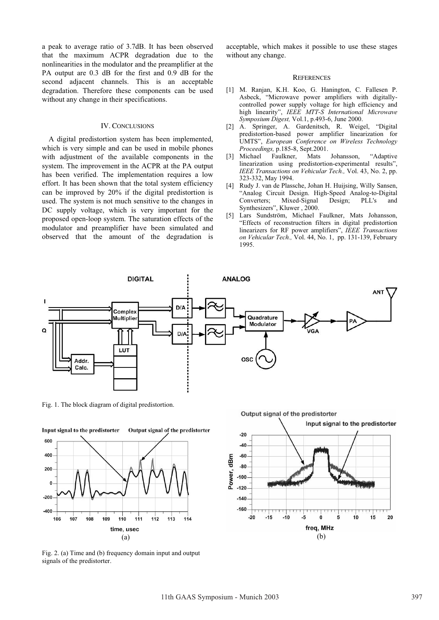a peak to average ratio of 3.7dB. It has been observed that the maximum ACPR degradation due to the nonlinearities in the modulator and the preamplifier at the PA output are 0.3 dB for the first and 0.9 dB for the second adjacent channels. This is an acceptable degradation. Therefore these components can be used without any change in their specifications.

### IV. CONCLUSIONS

A digital predistortion system has been implemented, which is very simple and can be used in mobile phones with adjustment of the available components in the system. The improvement in the ACPR at the PA output has been verified. The implementation requires a low effort. It has been shown that the total system efficiency can be improved by 20% if the digital predistortion is used. The system is not much sensitive to the changes in DC supply voltage, which is very important for the proposed open-loop system. The saturation effects of the modulator and preamplifier have been simulated and observed that the amount of the degradation is acceptable, which makes it possible to use these stages without any change.

#### **REFERENCES**

- [1] M. Ranjan, K.H. Koo, G. Hanington, C. Fallesen P. Asbeck, "Microwave power amplifiers with digitallycontrolled power supply voltage for high efficiency and high linearity", *IEEE MTT-S International Microwave Symposium Digest,* Vol.1, p.493-6, June 2000.
- [2] A. Springer, A. Gardenitsch, R. Weigel, "Digital predistortion-based power amplifier linearization for UMTS", *European Conference on Wireless Technology Proceedings,* p.185-8, Sept.2001.
- [3] Michael Faulkner, Mats Johansson, "Adaptive linearization using predistortion-experimental results", *IEEE Transactions on Vehicular Tech.,* Vol. 43, No. 2, pp. 323-332, May 1994.
- [4] Rudy J. van de Plassche, Johan H. Huijsing, Willy Sansen, "Analog Circuit Design. High-Speed Analog-to-Digital Converters; Mixed-Signal Design; PLL's and Synthesizers", Kluwer , 2000.
- [5] Lars Sundström, Michael Faulkner, Mats Johansson, "Effects of reconstruction filters in digital predistortion linearizers for RF power amplifiers", *IEEE Transactions on Vehicular Tech.,* Vol. 44, No. 1, pp. 131-139, February 1995.



Fig. 1. The block diagram of digital predistortion.



Input signal to the predistorter Output signal of the predistorter

Fig. 2. (a) Time and (b) frequency domain input and output signals of the predistorter.